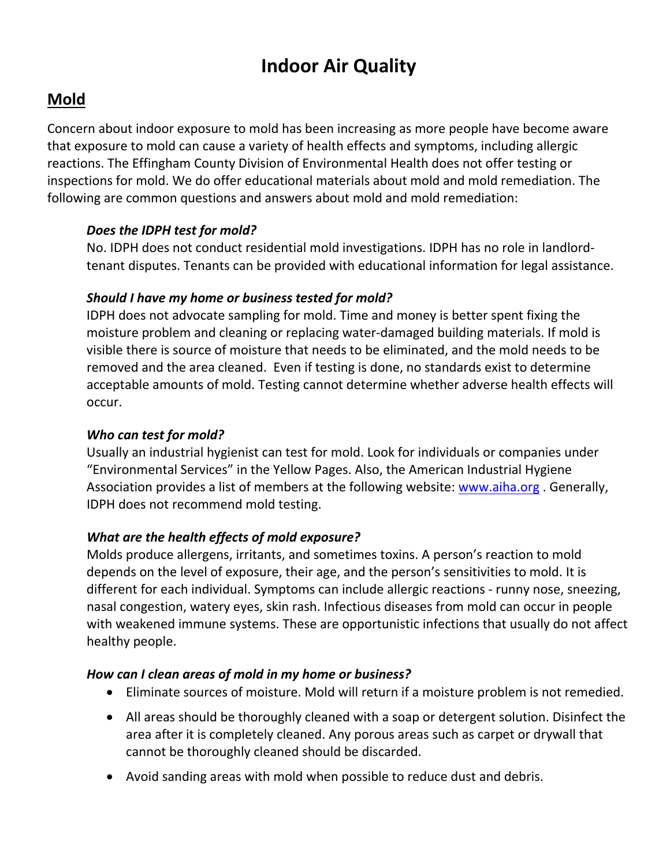# **Indoor Air Quality**

# **Mold**

Concern about indoor exposure to mold has been increasing as more people have become aware that exposure to mold can cause a variety of health effects and symptoms, including allergic reactions. The Effingham County Division of Environmental Health does not offer testing or inspections for mold. We do offer educational materials about mold and mold remediation. The following are common questions and answers about mold and mold remediation:

#### *Does the IDPH test for mold?*

No. IDPH does not conduct residential mold investigations. IDPH has no role in landlord‐ tenant disputes. Tenants can be provided with educational information for legal assistance.

#### *Should I have my home or business tested for mold?*

IDPH does not advocate sampling for mold. Time and money is better spent fixing the moisture problem and cleaning or replacing water‐damaged building materials. If mold is visible there is source of moisture that needs to be eliminated, and the mold needs to be removed and the area cleaned. Even if testing is done, no standards exist to determine acceptable amounts of mold. Testing cannot determine whether adverse health effects will occur.

#### *Who can test for mold?*

Usually an industrial hygienist can test for mold. Look for individuals or companies under "Environmental Services" in the Yellow Pages. Also, the American Industrial Hygiene Association provides a list of members at the following website: www.aiha.org. Generally, IDPH does not recommend mold testing.

### *What are the health effects of mold exposure?*

Molds produce allergens, irritants, and sometimes toxins. A person's reaction to mold depends on the level of exposure, their age, and the person's sensitivities to mold. It is different for each individual. Symptoms can include allergic reactions ‐ runny nose, sneezing, nasal congestion, watery eyes, skin rash. Infectious diseases from mold can occur in people with weakened immune systems. These are opportunistic infections that usually do not affect healthy people.

#### *How can I clean areas of mold in my home or business?*

- Eliminate sources of moisture. Mold will return if a moisture problem is not remedied.
- All areas should be thoroughly cleaned with a soap or detergent solution. Disinfect the area after it is completely cleaned. Any porous areas such as carpet or drywall that cannot be thoroughly cleaned should be discarded.
- Avoid sanding areas with mold when possible to reduce dust and debris.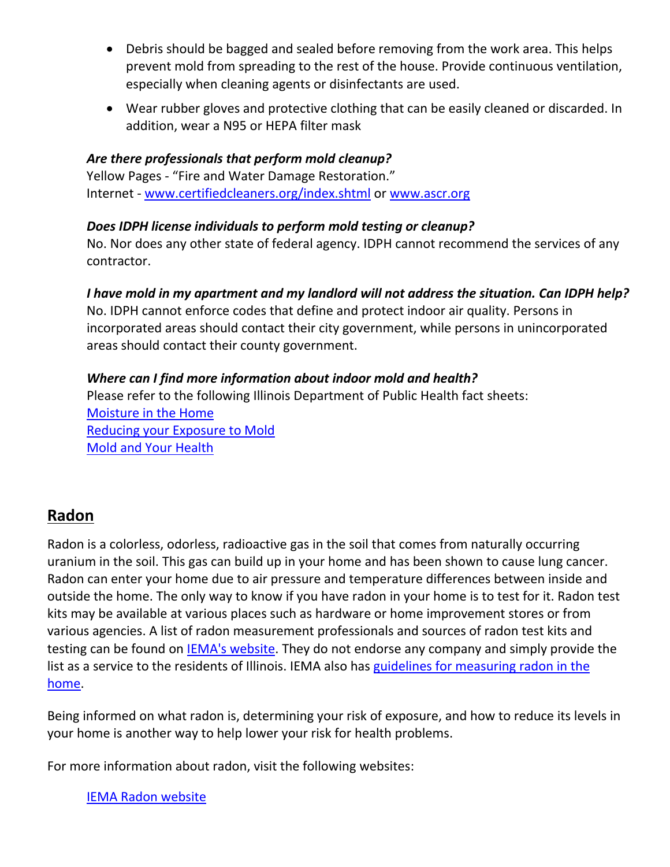- Debris should be bagged and sealed before removing from the work area. This helps prevent mold from spreading to the rest of the house. Provide continuous ventilation, especially when cleaning agents or disinfectants are used.
- Wear rubber gloves and protective clothing that can be easily cleaned or discarded. In addition, wear a N95 or HEPA filter mask

### *Are there professionals that perform mold cleanup?*

Yellow Pages ‐ "Fire and Water Damage Restoration." Internet ‐ www.certifiedcleaners.org/index.shtml or www.ascr.org

#### *Does IDPH license individuals to perform mold testing or cleanup?*

No. Nor does any other state of federal agency. IDPH cannot recommend the services of any contractor.

*I have mold in my apartment and my landlord will not address the situation. Can IDPH help?*

No. IDPH cannot enforce codes that define and protect indoor air quality. Persons in incorporated areas should contact their city government, while persons in unincorporated areas should contact their county government.

### *Where can I find more information about indoor mold and health?*

Please refer to the following Illinois Department of Public Health fact sheets: Moisture in the Home Reducing your Exposure to Mold Mold and Your Health

## **Radon**

Radon is a colorless, odorless, radioactive gas in the soil that comes from naturally occurring uranium in the soil. This gas can build up in your home and has been shown to cause lung cancer. Radon can enter your home due to air pressure and temperature differences between inside and outside the home. The only way to know if you have radon in your home is to test for it. Radon test kits may be available at various places such as hardware or home improvement stores or from various agencies. A list of radon measurement professionals and sources of radon test kits and testing can be found on IEMA's website. They do not endorse any company and simply provide the list as a service to the residents of Illinois. IEMA also has guidelines for measuring radon in the home.

Being informed on what radon is, determining your risk of exposure, and how to reduce its levels in your home is another way to help lower your risk for health problems.

For more information about radon, visit the following websites:

IEMA Radon website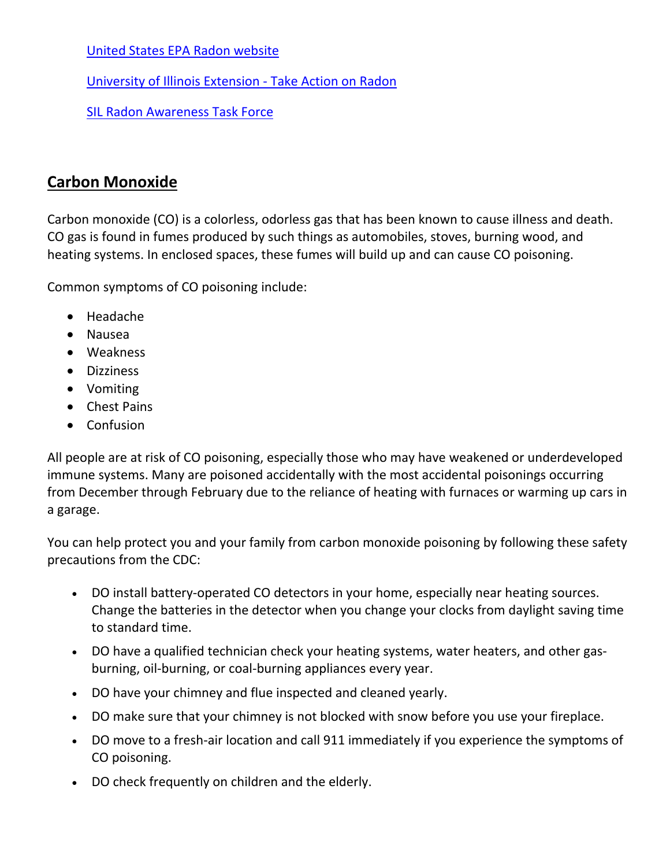United States EPA Radon website

University of Illinois Extension ‐ Take Action on Radon

SIL Radon Awareness Task Force

# **Carbon Monoxide**

Carbon monoxide (CO) is a colorless, odorless gas that has been known to cause illness and death. CO gas is found in fumes produced by such things as automobiles, stoves, burning wood, and heating systems. In enclosed spaces, these fumes will build up and can cause CO poisoning.

Common symptoms of CO poisoning include:

- Headache
- Nausea
- Weakness
- Dizziness
- Vomiting
- Chest Pains
- Confusion

All people are at risk of CO poisoning, especially those who may have weakened or underdeveloped immune systems. Many are poisoned accidentally with the most accidental poisonings occurring from December through February due to the reliance of heating with furnaces or warming up cars in a garage.

You can help protect you and your family from carbon monoxide poisoning by following these safety precautions from the CDC:

- DO install battery-operated CO detectors in your home, especially near heating sources. Change the batteries in the detector when you change your clocks from daylight saving time to standard time.
- DO have a qualified technician check your heating systems, water heaters, and other gasburning, oil‐burning, or coal‐burning appliances every year.
- DO have your chimney and flue inspected and cleaned yearly.
- DO make sure that your chimney is not blocked with snow before you use your fireplace.
- DO move to a fresh-air location and call 911 immediately if you experience the symptoms of CO poisoning.
- DO check frequently on children and the elderly.